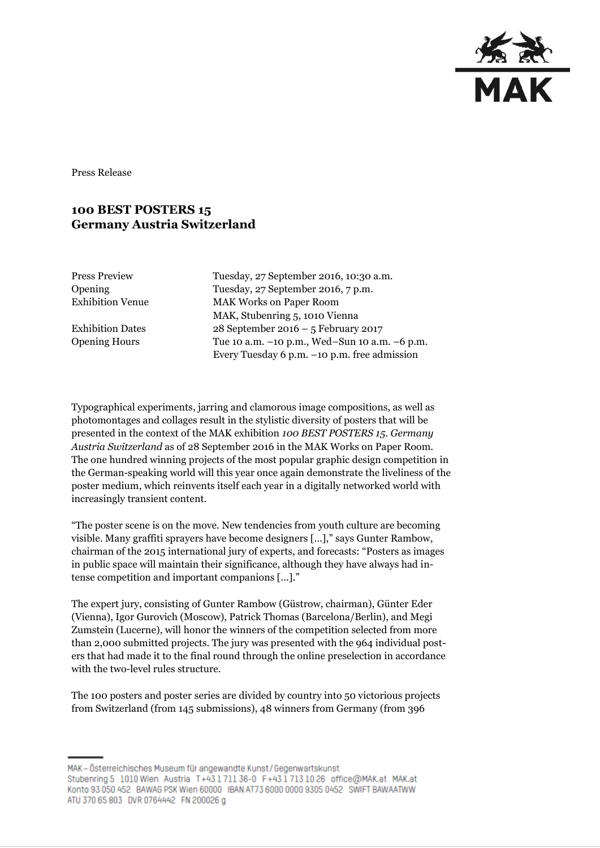

Press Release

## **100 BEST POSTERS 15 Germany Austria Switzerland**

| Press Preview    |
|------------------|
| Opening          |
| Exhibition Venue |

Tuesday, 27 September 2016, 10:30 a.m. Tuesday, 27 September 2016, 7 p.m. **MAK Works on Paper Room** MAK, Stubenring 5, 1010 Vienna Exhibition Dates 28 September 2016 – 5 February 2017 Opening Hours Tue 10 a.m. –10 p.m., Wed–Sun 10 a.m. –6 p.m. Every Tuesday 6 p.m. –10 p.m. free admission

Typographical experiments, jarring and clamorous image compositions, as well as photomontages and collages result in the stylistic diversity of posters that will be presented in the context of the MAK exhibition *100 BEST POSTERS 15. Germany Austria Switzerland* as of 28 September 2016 in the MAK Works on Paper Room. The one hundred winning projects of the most popular graphic design competition in the German-speaking world will this year once again demonstrate the liveliness of the poster medium, which reinvents itself each year in a digitally networked world with increasingly transient content.

"The poster scene is on the move. New tendencies from youth culture are becoming visible. Many graffiti sprayers have become designers […]," says Gunter Rambow, chairman of the 2015 international jury of experts, and forecasts: "Posters as images in public space will maintain their significance, although they have always had intense competition and important companions [...]."

The expert jury, consisting of Gunter Rambow (Güstrow, chairman), Günter Eder (Vienna), Igor Gurovich (Moscow), Patrick Thomas (Barcelona/Berlin), and Megi Zumstein (Lucerne), will honor the winners of the competition selected from more than 2,000 submitted projects. The jury was presented with the 964 individual posters that had made it to the final round through the online preselection in accordance with the two-level rules structure.

The 100 posters and poster series are divided by country into 50 victorious projects from Switzerland (from 145 submissions), 48 winners from Germany (from 396

MAK-Österreichisches Museum für angewandte Kunst/Gegenwartskunst Stubenring 5 1010 Wien Austria T+43171136-0 F+4317131026 office@MAK.at MAK.at Konto 93 050 452 BAWAG PSK Wien 60000 IBAN AT73 6000 0000 9305 0452 SWIFT BAWAATWW ATU 370 65 803 DVR 0764442 FN 200026 g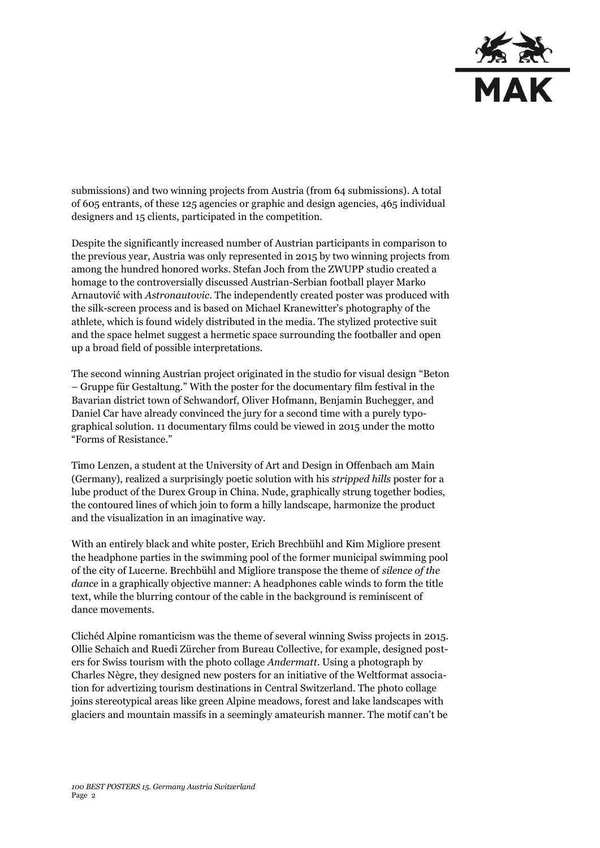

submissions) and two winning projects from Austria (from 64 submissions). A total of 605 entrants, of these 125 agencies or graphic and design agencies, 465 individual designers and 15 clients, participated in the competition.

Despite the significantly increased number of Austrian participants in comparison to the previous year, Austria was only represented in 2015 by two winning projects from among the hundred honored works. Stefan Joch from the ZWUPP studio created a homage to the controversially discussed Austrian-Serbian football player Marko Arnautović with *Astronautovic*. The independently created poster was produced with the silk-screen process and is based on Michael Kranewitter's photography of the athlete, which is found widely distributed in the media. The stylized protective suit and the space helmet suggest a hermetic space surrounding the footballer and open up a broad field of possible interpretations.

The second winning Austrian project originated in the studio for visual design "Beton – Gruppe für Gestaltung." With the poster for the documentary film festival in the Bavarian district town of Schwandorf, Oliver Hofmann, Benjamin Buchegger, and Daniel Car have already convinced the jury for a second time with a purely typographical solution. 11 documentary films could be viewed in 2015 under the motto "Forms of Resistance."

Timo Lenzen, a student at the University of Art and Design in Offenbach am Main (Germany), realized a surprisingly poetic solution with his *stripped hills* poster for a lube product of the Durex Group in China. Nude, graphically strung together bodies, the contoured lines of which join to form a hilly landscape, harmonize the product and the visualization in an imaginative way.

With an entirely black and white poster, Erich Brechbühl and Kim Migliore present the headphone parties in the swimming pool of the former municipal swimming pool of the city of Lucerne. Brechbühl and Migliore transpose the theme of *silence of the dance* in a graphically objective manner: A headphones cable winds to form the title text, while the blurring contour of the cable in the background is reminiscent of dance movements.

Clichéd Alpine romanticism was the theme of several winning Swiss projects in 2015. Ollie Schaich and Ruedi Zürcher from Bureau Collective, for example, designed posters for Swiss tourism with the photo collage *Andermatt*. Using a photograph by Charles Nègre, they designed new posters for an initiative of the Weltformat association for advertizing tourism destinations in Central Switzerland. The photo collage joins stereotypical areas like green Alpine meadows, forest and lake landscapes with glaciers and mountain massifs in a seemingly amateurish manner. The motif can't be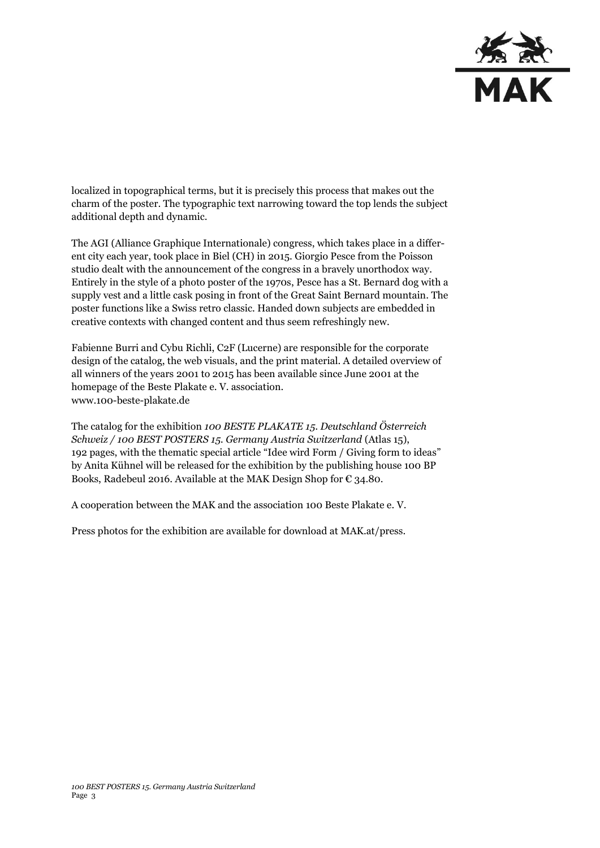

localized in topographical terms, but it is precisely this process that makes out the charm of the poster. The typographic text narrowing toward the top lends the subject additional depth and dynamic.

The AGI (Alliance Graphique Internationale) congress, which takes place in a different city each year, took place in Biel (CH) in 2015. Giorgio Pesce from the Poisson studio dealt with the announcement of the congress in a bravely unorthodox way. Entirely in the style of a photo poster of the 1970s, Pesce has a St. Bernard dog with a supply vest and a little cask posing in front of the Great Saint Bernard mountain. The poster functions like a Swiss retro classic. Handed down subjects are embedded in creative contexts with changed content and thus seem refreshingly new.

Fabienne Burri and Cybu Richli, C2F (Lucerne) are responsible for the corporate design of the catalog, the web visuals, and the print material. A detailed overview of all winners of the years 2001 to 2015 has been available since June 2001 at the homepage of the Beste Plakate e. V. association. www.100-beste-plakate.de

The catalog for the exhibition *100 BESTE PLAKATE 15. Deutschland Österreich Schweiz / 100 BEST POSTERS 15. Germany Austria Switzerland* (Atlas 15), 192 pages, with the thematic special article "Idee wird Form / Giving form to ideas" by Anita Kühnel will be released for the exhibition by the publishing house 100 BP Books, Radebeul 2016. Available at the MAK Design Shop for € 34.80.

A cooperation between the MAK and the association 100 Beste Plakate e. V.

Press photos for the exhibition are available for download at MAK.at/press.